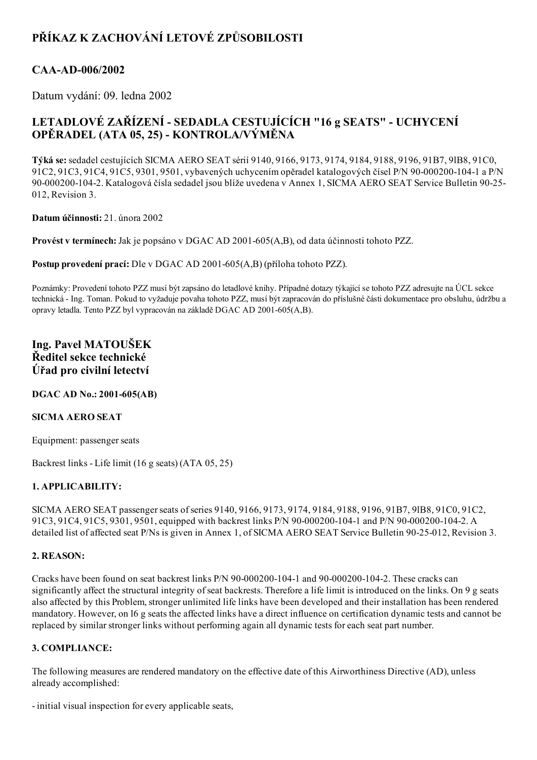# PŘÍKAZ K ZACHOVÁNÍ LETOVÉ ZPŮSOBILOSTI

### CAA-AD-006/2002

Datum vydání: 09. ledna 2002

## LETADLOVÉ ZAŘÍZENÍ - SEDADLA CESTUJÍCÍCH "16 g SEATS" - UCHYCENÍ OPĚRADEL (ATA 05, 25) KONTROLA/VÝMĚNA

Týká se:sedadel cestujících SICMA AERO SEAT sérií 9140, 9166, 9173, 9174, 9184, 9188, 9196, 91B7, 9lB8, 91C0, 91C2, 91C3, 91C4, 91C5, 9301, 9501, vybavených uchycením opěradel katalogových čísel P/N 90-000200-104-1 a P/N 90-000200-104-2. Katalogová čísla sedadel jsou blíže uvedena v Annex 1, SICMA AERO SEAT Service Bulletin 90-25-012, Revision 3.

Datum účinnosti: 21. února 2002

Provést v termínech: Jak je popsáno v DGAC AD 2001-605(A,B), od data účinnosti tohoto PZZ.

Postup provedení prací: Dle v DGAC AD 2001-605(A,B) (příloha tohoto PZZ).

Poznámky: Provedení tohoto PZZ musí být zapsáno do letadlové knihy. Případné dotazy týkající se tohoto PZZ adresujte na ÚCL sekce technická Ing. Toman. Pokud to vyžaduje povaha tohoto PZZ, musí být zapracován do příslušné části dokumentace pro obsluhu, údržbu a opravy letadla. Tento PZZ byl vypracován na základě DGAC AD 2001-605(A,B).

### Ing. Pavel MATOUŠEK Ředitel sekce technické Úřad pro civilní letectví

#### DGAC AD No.: 2001-605(AB)

#### SICMA AERO SEAT

Equipment: passenger seats

Backrest links Life limit (16 g seats) (ATA 05, 25)

#### 1. APPLICABILITY:

SICMA AERO SEAT passenger seats of series 9140, 9166, 9173, 9174, 9184, 9188, 9196, 91B7, 9lB8, 91C0, 91C2, 91C3, 91C4, 91C5, 9301, 9501, equipped with backrest links P/N 90-000200-104-1 and P/N 90-000200-104-2. A detailed list of affected seat P/Ns is given in Annex 1, of SICMA AERO SEAT Service Bulletin 90-25-012, Revision 3.

#### 2. REASON:

Cracks have been found on seat backrest links  $P/N$  90-000200-104-1 and 90-000200-104-2. These cracks can significantly affect the structural integrity of seat backrests. Therefore a life limit is introduced on the links. On 9 g seats also affected by this Problem, stronger unlimited life links have been developed and their installation has been rendered mandatory. However, on l6 g seats the affected links have a direct influence on certification dynamic tests and cannot be replaced by similar stronger links without performing again all dynamic tests for each seat part number.

#### 3. COMPLIANCE:

The following measures are rendered mandatory on the effective date of this Airworthiness Directive (AD), unless already accomplished:

- initial visual inspection for every applicable seats,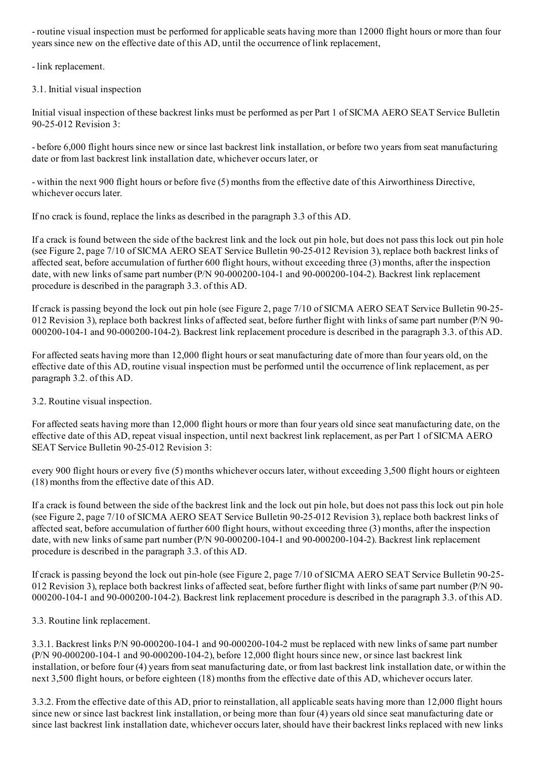- routine visual inspection must be performed for applicable seats having more than 12000 flight hours or more than four years since new on the effective date of this AD, until the occurrence of link replacement,

- link replacement.

3.1. Initial visual inspection

Initial visual inspection of these backrest links must be performed as per Part 1 of SICMA AERO SEAT Service Bulletin 90-25-012 Revision 3:

 before 6,000 flight hours since new orsince last backrest link installation, or before two years from seat manufacturing date or from last backrest link installation date, whichever occurs later, or

 within the next 900 flight hours or before five (5) months from the effective date of this Airworthiness Directive, whichever occurs later.

If no crack is found, replace the links as described in the paragraph 3.3 of this AD.

If a crack is found between the side of the backrest link and the lock out pin hole, but does not pass this lock out pin hole (see Figure 2, page 7/10 of SICMA AERO SEAT Service Bulletin 90-25-012 Revision 3), replace both backrest links of affected seat, before accumulation of further 600 flight hours, without exceeding three (3) months, after the inspection date, with new links of same part number ( $P/N$  90-000200-104-1 and 90-000200-104-2). Backrest link replacement procedure is described in the paragraph 3.3. of this AD.

If crack is passing beyond the lock out pin hole (see Figure 2, page 7/10 of SICMA AERO SEAT Service Bulletin 90-25-012 Revision 3), replace both backrest links of affected seat, before further flight with links of same part number (P/N 90-000200-104-1 and 90-000200-104-2). Backrest link replacement procedure is described in the paragraph 3.3. of this AD.

For affected seats having more than 12,000 flight hours or seat manufacturing date of more than four years old, on the effective date of this AD, routine visual inspection must be performed until the occurrence of link replacement, as per paragraph 3.2. of this AD.

3.2. Routine visual inspection.

For affected seats having more than 12,000 flight hours or more than four years old since seat manufacturing date, on the effective date of this AD, repeat visual inspection, until next backrest link replacement, as per Part 1 of SICMA AERO SEAT Service Bulletin 90-25-012 Revision 3:

every 900 flight hours or every five (5) months whichever occurs later, without exceeding 3,500 flight hours or eighteen (18) months from the effective date of this AD.

If a crack is found between the side of the backrest link and the lock out pin hole, but does not pass this lock out pin hole (see Figure 2, page 7/10 of SICMA AERO SEAT Service Bulletin 90-25-012 Revision 3), replace both backrest links of affected seat, before accumulation of further 600 flight hours, without exceeding three (3) months, after the inspection date, with new links of same part number (P/N 90-000200-104-1 and 90-000200-104-2). Backrest link replacement procedure is described in the paragraph 3.3. of this AD.

If crack is passing beyond the lock out pin-hole (see Figure 2, page 7/10 of SICMA AERO SEAT Service Bulletin 90-25-012 Revision 3), replace both backrest links of affected seat, before further flight with links ofsame part number (P/N 90 0002001041 and 900002001042). Backrest link replacement procedure is described in the paragraph 3.3. of this AD.

3.3. Routine link replacement.

3.3.1. Backrest links P/N 90-000200-104-1 and 90-000200-104-2 must be replaced with new links of same part number  $(P/N 90-000200-104-1$  and  $90-000200-104-2)$ , before 12,000 flight hours since new, or since last backrest link installation, or before four (4) years from seat manufacturing date, or from last backrest link installation date, or within the next 3,500 flight hours, or before eighteen (18) months from the effective date of this AD, whichever occurs later.

3.3.2. From the effective date of this AD, prior to reinstallation, all applicable seats having more than 12,000 flight hours since new orsince last backrest link installation, or being more than four (4) years old since seat manufacturing date or since last backrest link installation date, whichever occurs later, should have their backrest links replaced with new links